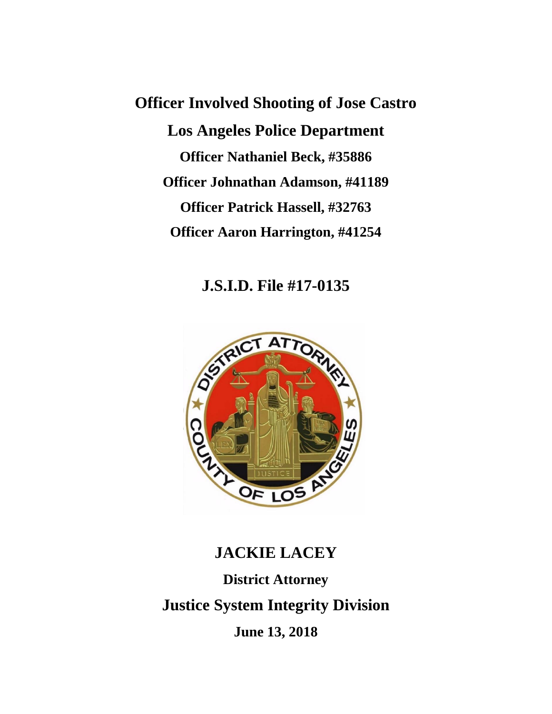**Officer Involved Shooting of Jose Castro Los Angeles Police Department Officer Nathaniel Beck, #35886 Officer Johnathan Adamson, #41189 Officer Patrick Hassell, #32763 Officer Aaron Harrington, #41254**

**J.S.I.D. File #17-0135**



# **JACKIE LACEY**

**District Attorney Justice System Integrity Division June 13, 2018**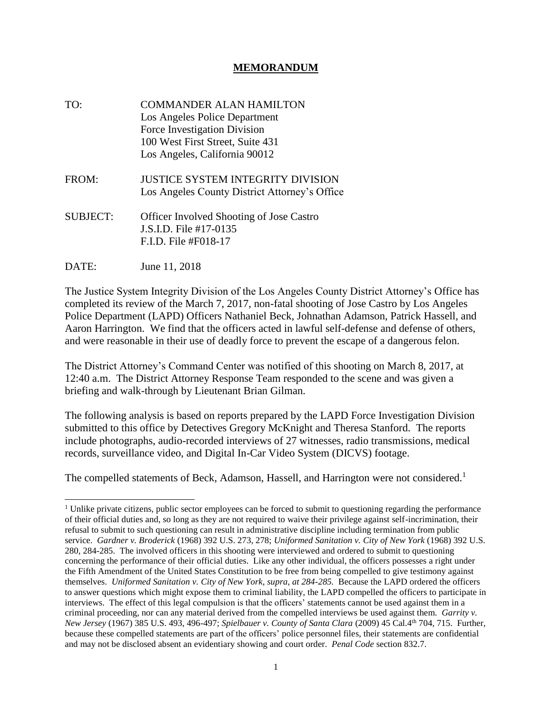#### **MEMORANDUM**

TO: COMMANDER ALAN HAMILTON Los Angeles Police Department Force Investigation Division 100 West First Street, Suite 431 Los Angeles, California 90012 FROM: JUSTICE SYSTEM INTEGRITY DIVISION Los Angeles County District Attorney's Office SUBJECT: Officer Involved Shooting of Jose Castro J.S.I.D. File #17-0135 F.I.D. File #F018-17 DATE: June 11, 2018

The Justice System Integrity Division of the Los Angeles County District Attorney's Office has completed its review of the March 7, 2017, non-fatal shooting of Jose Castro by Los Angeles Police Department (LAPD) Officers Nathaniel Beck, Johnathan Adamson, Patrick Hassell, and Aaron Harrington. We find that the officers acted in lawful self-defense and defense of others, and were reasonable in their use of deadly force to prevent the escape of a dangerous felon.

The District Attorney's Command Center was notified of this shooting on March 8, 2017, at 12:40 a.m. The District Attorney Response Team responded to the scene and was given a briefing and walk-through by Lieutenant Brian Gilman.

The following analysis is based on reports prepared by the LAPD Force Investigation Division submitted to this office by Detectives Gregory McKnight and Theresa Stanford. The reports include photographs, audio-recorded interviews of 27 witnesses, radio transmissions, medical records, surveillance video, and Digital In-Car Video System (DICVS) footage.

The compelled statements of Beck, Adamson, Hassell, and Harrington were not considered.<sup>1</sup>

<sup>&</sup>lt;sup> $1$ </sup> Unlike private citizens, public sector employees can be forced to submit to questioning regarding the performance of their official duties and, so long as they are not required to waive their privilege against self-incrimination, their refusal to submit to such questioning can result in administrative discipline including termination from public service. *Gardner v. Broderick* (1968) 392 U.S. 273, 278; *Uniformed Sanitation v. City of New York* (1968) 392 U.S. 280, 284-285. The involved officers in this shooting were interviewed and ordered to submit to questioning concerning the performance of their official duties. Like any other individual, the officers possesses a right under the Fifth Amendment of the United States Constitution to be free from being compelled to give testimony against themselves. *Uniformed Sanitation v. City of New York, supra, at 284-285.* Because the LAPD ordered the officers to answer questions which might expose them to criminal liability, the LAPD compelled the officers to participate in interviews. The effect of this legal compulsion is that the officers' statements cannot be used against them in a criminal proceeding, nor can any material derived from the compelled interviews be used against them. *Garrity v. New Jersey* (1967) 385 U.S. 493, 496-497; *Spielbauer v. County of Santa Clara* (2009) 45 Cal.4th 704, 715. Further, because these compelled statements are part of the officers' police personnel files, their statements are confidential and may not be disclosed absent an evidentiary showing and court order. *Penal Code* section 832.7.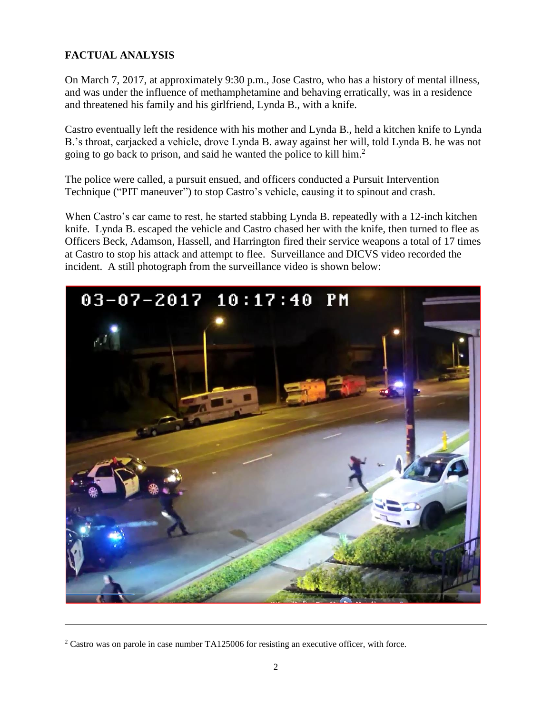## **FACTUAL ANALYSIS**

On March 7, 2017, at approximately 9:30 p.m., Jose Castro, who has a history of mental illness, and was under the influence of methamphetamine and behaving erratically, was in a residence and threatened his family and his girlfriend, Lynda B., with a knife.

Castro eventually left the residence with his mother and Lynda B., held a kitchen knife to Lynda B.'s throat, carjacked a vehicle, drove Lynda B. away against her will, told Lynda B. he was not going to go back to prison, and said he wanted the police to kill him.<sup>2</sup>

The police were called, a pursuit ensued, and officers conducted a Pursuit Intervention Technique ("PIT maneuver") to stop Castro's vehicle, causing it to spinout and crash.

When Castro's car came to rest, he started stabbing Lynda B. repeatedly with a 12-inch kitchen knife. Lynda B. escaped the vehicle and Castro chased her with the knife, then turned to flee as Officers Beck, Adamson, Hassell, and Harrington fired their service weapons a total of 17 times at Castro to stop his attack and attempt to flee. Surveillance and DICVS video recorded the incident. A still photograph from the surveillance video is shown below:



<sup>&</sup>lt;sup>2</sup> Castro was on parole in case number TA125006 for resisting an executive officer, with force.